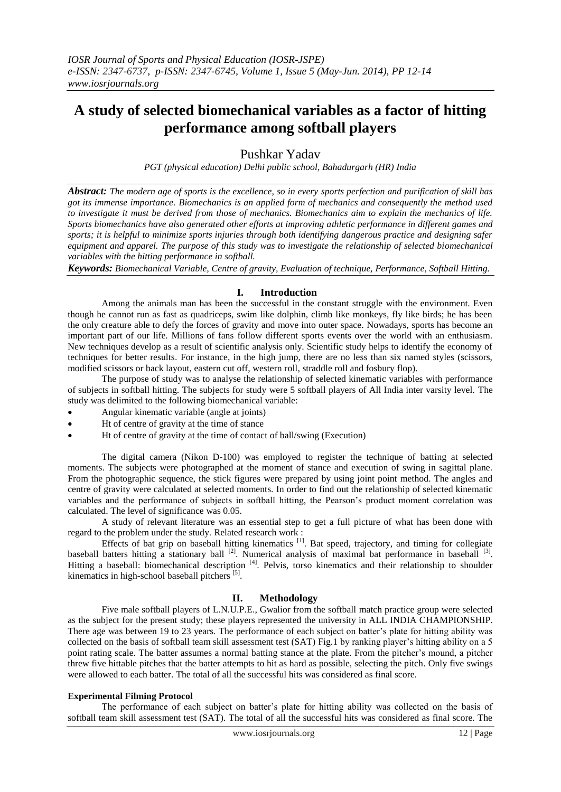# **A study of selected biomechanical variables as a factor of hitting performance among softball players**

## Pushkar Yadav

*PGT (physical education) Delhi public school, Bahadurgarh (HR) India*

*Abstract: The modern age of sports is the excellence, so in every sports perfection and purification of skill has got its immense importance. Biomechanics is an applied form of mechanics and consequently the method used to investigate it must be derived from those of mechanics. Biomechanics aim to explain the mechanics of life. Sports biomechanics have also generated other efforts at improving athletic performance in different games and sports; it is helpful to minimize sports injuries through both identifying dangerous practice and designing safer equipment and apparel. The purpose of this study was to investigate the relationship of selected biomechanical variables with the hitting performance in softball.*

*Keywords: Biomechanical Variable, Centre of gravity, Evaluation of technique, Performance, Softball Hitting.*

## **I. Introduction**

Among the animals man has been the successful in the constant struggle with the environment. Even though he cannot run as fast as quadriceps, swim like dolphin, climb like monkeys, fly like birds; he has been the only creature able to defy the forces of gravity and move into outer space. Nowadays, sports has become an important part of our life. Millions of fans follow different sports events over the world with an enthusiasm. New techniques develop as a result of scientific analysis only. Scientific study helps to identify the economy of techniques for better results. For instance, in the high jump, there are no less than six named styles (scissors, modified scissors or back layout, eastern cut off, western roll, straddle roll and fosbury flop).

The purpose of study was to analyse the relationship of selected kinematic variables with performance of subjects in softball hitting. The subjects for study were 5 softball players of All India inter varsity level. The study was delimited to the following biomechanical variable:

- Angular kinematic variable (angle at joints)
- Ht of centre of gravity at the time of stance
- Ht of centre of gravity at the time of contact of ball/swing (Execution)

The digital camera (Nikon D-100) was employed to register the technique of batting at selected moments. The subjects were photographed at the moment of stance and execution of swing in sagittal plane. From the photographic sequence, the stick figures were prepared by using joint point method. The angles and centre of gravity were calculated at selected moments. In order to find out the relationship of selected kinematic variables and the performance of subjects in softball hitting, the Pearson's product moment correlation was calculated. The level of significance was 0.05.

A study of relevant literature was an essential step to get a full picture of what has been done with regard to the problem under the study. Related research work :

Effects of bat grip on baseball hitting kinematics  $[1]$ . Bat speed, trajectory, and timing for collegiate baseball batters hitting a stationary ball  $^{[2]}$ . Numerical analysis of maximal bat performance in baseball  $^{[3]}$ . Hitting a baseball: biomechanical description <sup>[4]</sup>. Pelvis, torso kinematics and their relationship to shoulder kinematics in high-school baseball pitchers [5].

## **II. Methodology**

Five male softball players of L.N.U.P.E., Gwalior from the softball match practice group were selected as the subject for the present study; these players represented the university in ALL INDIA CHAMPIONSHIP. There age was between 19 to 23 years. The performance of each subject on batter's plate for hitting ability was collected on the basis of softball team skill assessment test (SAT) Fig.1 by ranking player's hitting ability on a 5 point rating scale. The batter assumes a normal batting stance at the plate. From the pitcher's mound, a pitcher threw five hittable pitches that the batter attempts to hit as hard as possible, selecting the pitch. Only five swings were allowed to each batter. The total of all the successful hits was considered as final score.

#### **Experimental Filming Protocol**

The performance of each subject on batter's plate for hitting ability was collected on the basis of softball team skill assessment test (SAT). The total of all the successful hits was considered as final score. The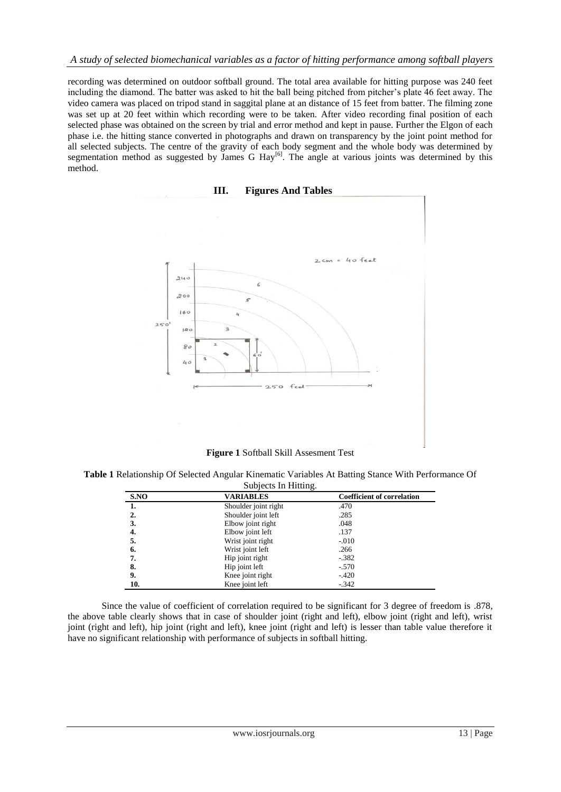recording was determined on outdoor softball ground. The total area available for hitting purpose was 240 feet including the diamond. The batter was asked to hit the ball being pitched from pitcher's plate 46 feet away. The video camera was placed on tripod stand in saggital plane at an distance of 15 feet from batter. The filming zone was set up at 20 feet within which recording were to be taken. After video recording final position of each selected phase was obtained on the screen by trial and error method and kept in pause. Further the Elgon of each phase i.e. the hitting stance converted in photographs and drawn on transparency by the joint point method for all selected subjects. The centre of the gravity of each body segment and the whole body was determined by segmentation method as suggested by James G Hay<sup>[6]</sup>. The angle at various joints was determined by this method.



**Figure 1** Softball Skill Assesment Test

**Table 1** Relationship Of Selected Angular Kinematic Variables At Batting Stance With Performance Of Subjects In Hitting.

| S.NO             | VARIABLES            | <b>Coefficient of correlation</b> |
|------------------|----------------------|-----------------------------------|
| 1.               | Shoulder joint right | .470                              |
| $\overline{2}$ . | Shoulder joint left  | .285                              |
| 3.               | Elbow joint right    | .048                              |
| 4.               | Elbow joint left     | .137                              |
| 5.               | Wrist joint right    | $-.010$                           |
| 6.               | Wrist joint left     | .266                              |
| 7.               | Hip joint right      | $-.382$                           |
| 8.               | Hip joint left       | $-.570$                           |
| 9.               | Knee joint right     | $-.420$                           |
| 10.              | Knee joint left      | $-.342$                           |

Since the value of coefficient of correlation required to be significant for 3 degree of freedom is .878, the above table clearly shows that in case of shoulder joint (right and left), elbow joint (right and left), wrist joint (right and left), hip joint (right and left), knee joint (right and left) is lesser than table value therefore it have no significant relationship with performance of subjects in softball hitting.